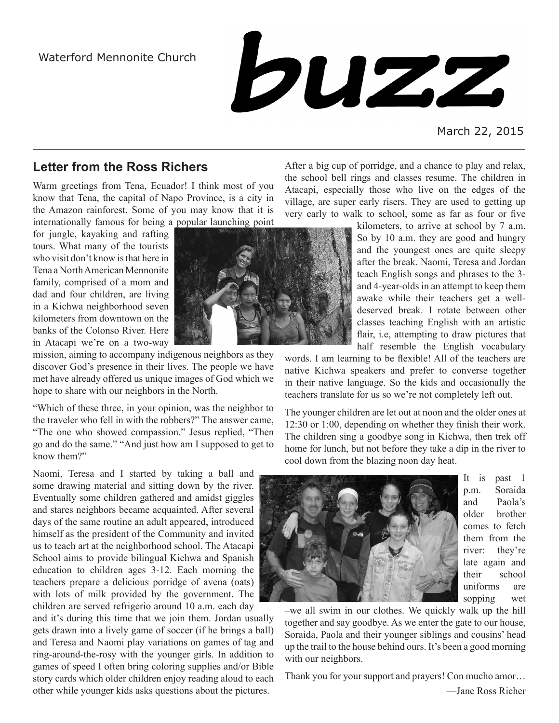Waterford Mennonite Church



March 22, 2015

# **Letter from the Ross Richers**

Warm greetings from Tena, Ecuador! I think most of you know that Tena, the capital of Napo Province, is a city in the Amazon rainforest. Some of you may know that it is internationally famous for being a popular launching point

for jungle, kayaking and rafting tours. What many of the tourists who visit don't know is that here in Tena a North American Mennonite family, comprised of a mom and dad and four children, are living in a Kichwa neighborhood seven kilometers from downtown on the banks of the Colonso River. Here in Atacapi we're on a two-way



"Which of these three, in your opinion, was the neighbor to the traveler who fell in with the robbers?" The answer came, "The one who showed compassion." Jesus replied, "Then go and do the same." "And just how am I supposed to get to know them?"

Naomi, Teresa and I started by taking a ball and some drawing material and sitting down by the river. Eventually some children gathered and amidst giggles and stares neighbors became acquainted. After several days of the same routine an adult appeared, introduced himself as the president of the Community and invited us to teach art at the neighborhood school. The Atacapi School aims to provide bilingual Kichwa and Spanish education to children ages 3-12. Each morning the teachers prepare a delicious porridge of avena (oats) with lots of milk provided by the government. The children are served refrigerio around 10 a.m. each day

and it's during this time that we join them. Jordan usually gets drawn into a lively game of soccer (if he brings a ball) and Teresa and Naomi play variations on games of tag and ring-around-the-rosy with the younger girls. In addition to games of speed I often bring coloring supplies and/or Bible story cards which older children enjoy reading aloud to each other while younger kids asks questions about the pictures.

After a big cup of porridge, and a chance to play and relax, the school bell rings and classes resume. The children in Atacapi, especially those who live on the edges of the village, are super early risers. They are used to getting up very early to walk to school, some as far as four or five

> kilometers, to arrive at school by 7 a.m. So by 10 a.m. they are good and hungry and the youngest ones are quite sleepy after the break. Naomi, Teresa and Jordan teach English songs and phrases to the 3 and 4-year-olds in an attempt to keep them awake while their teachers get a welldeserved break. I rotate between other classes teaching English with an artistic flair, i.e, attempting to draw pictures that half resemble the English vocabulary

words. I am learning to be flexible! All of the teachers are native Kichwa speakers and prefer to converse together in their native language. So the kids and occasionally the teachers translate for us so we're not completely left out.

The younger children are let out at noon and the older ones at 12:30 or 1:00, depending on whether they finish their work. The children sing a goodbye song in Kichwa, then trek off home for lunch, but not before they take a dip in the river to cool down from the blazing noon day heat.



It is past 1 p.m. Soraida and Paola's older brother comes to fetch them from the river: they're late again and their school uniforms are sopping wet

–we all swim in our clothes. We quickly walk up the hill together and say goodbye. As we enter the gate to our house, Soraida, Paola and their younger siblings and cousins' head up the trail to the house behind ours. It's been a good morning with our neighbors.

Thank you for your support and prayers! Con mucho amor…